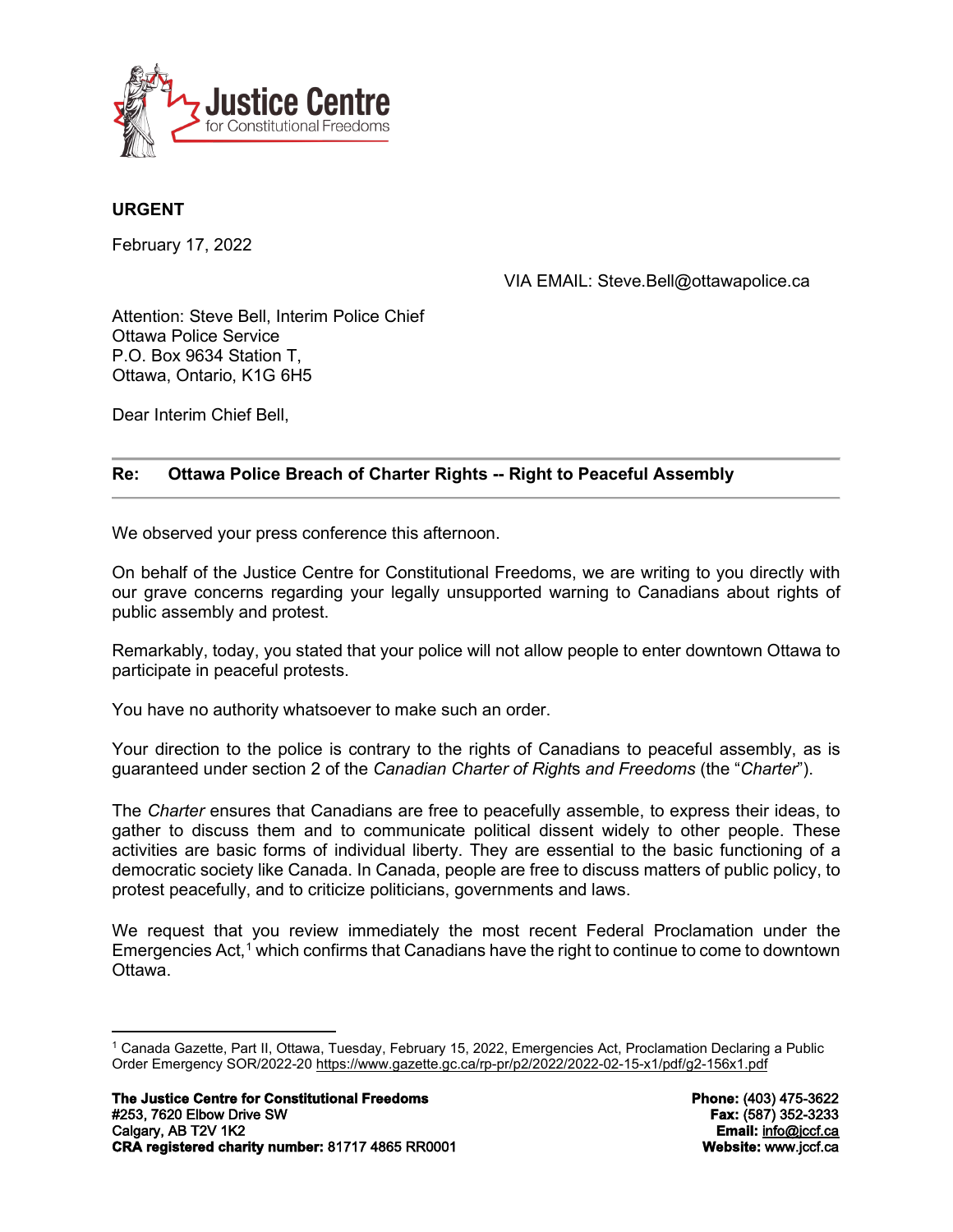

# **URGENT**

February 17, 2022

VIA EMAIL: Steve.Bell@ottawapolice.ca

Attention: Steve Bell, Interim Police Chief Ottawa Police Service P.O. Box 9634 Station T, Ottawa, Ontario, K1G 6H5

Dear Interim Chief Bell,

## **Re: Ottawa Police Breach of Charter Rights -- Right to Peaceful Assembly**

We observed your press conference this afternoon.

On behalf of the Justice Centre for Constitutional Freedoms, we are writing to you directly with our grave concerns regarding your legally unsupported warning to Canadians about rights of public assembly and protest.

Remarkably, today, you stated that your police will not allow people to enter downtown Ottawa to participate in peaceful protests.

You have no authority whatsoever to make such an order.

Your direction to the police is contrary to the rights of Canadians to peaceful assembly, as is guaranteed under section 2 of the *Canadian Charter of Right*s *and Freedoms* (the "*Charter*").

The *Charter* ensures that Canadians are free to peacefully assemble, to express their ideas, to gather to discuss them and to communicate political dissent widely to other people. These activities are basic forms of individual liberty. They are essential to the basic functioning of a democratic society like Canada. In Canada, people are free to discuss matters of public policy, to protest peacefully, and to criticize politicians, governments and laws.

We request that you review immediately the most recent Federal Proclamation under the Emergencies Act, $1$  which confirms that Canadians have the right to continue to come to downtown Ottawa.

<span id="page-0-0"></span><sup>1</sup> Canada Gazette, Part II, Ottawa, Tuesday, February 15, 2022, Emergencies Act, Proclamation Declaring a Public Order Emergency SOR/2022-20 <https://www.gazette.gc.ca/rp-pr/p2/2022/2022-02-15-x1/pdf/g2-156x1.pdf>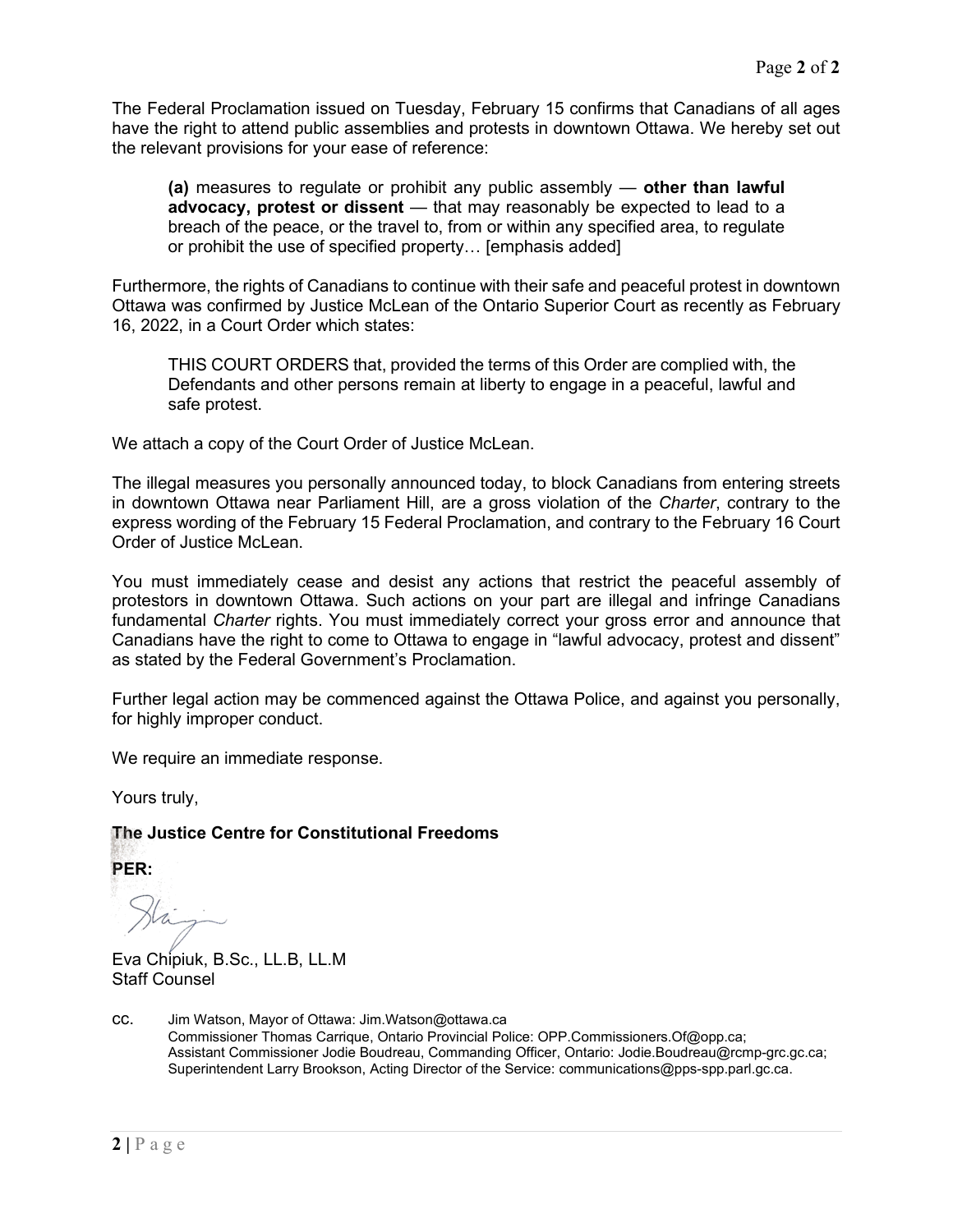The Federal Proclamation issued on Tuesday, February 15 confirms that Canadians of all ages have the right to attend public assemblies and protests in downtown Ottawa. We hereby set out the relevant provisions for your ease of reference:

**(a)** measures to regulate or prohibit any public assembly — **other than lawful advocacy, protest or dissent** — that may reasonably be expected to lead to a breach of the peace, or the travel to, from or within any specified area, to regulate or prohibit the use of specified property… [emphasis added]

Furthermore, the rights of Canadians to continue with their safe and peaceful protest in downtown Ottawa was confirmed by Justice McLean of the Ontario Superior Court as recently as February 16, 2022, in a Court Order which states:

THIS COURT ORDERS that, provided the terms of this Order are complied with, the Defendants and other persons remain at liberty to engage in a peaceful, lawful and safe protest.

We attach a copy of the Court Order of Justice McLean.

The illegal measures you personally announced today, to block Canadians from entering streets in downtown Ottawa near Parliament Hill, are a gross violation of the *Charter*, contrary to the express wording of the February 15 Federal Proclamation, and contrary to the February 16 Court Order of Justice McLean.

You must immediately cease and desist any actions that restrict the peaceful assembly of protestors in downtown Ottawa. Such actions on your part are illegal and infringe Canadians fundamental *Charter* rights. You must immediately correct your gross error and announce that Canadians have the right to come to Ottawa to engage in "lawful advocacy, protest and dissent" as stated by the Federal Government's Proclamation.

Further legal action may be commenced against the Ottawa Police, and against you personally, for highly improper conduct.

We require an immediate response.

Yours truly,

#### **The Justice Centre for Constitutional Freedoms**

**PER:**

Eva Chipiuk, B.Sc., LL.B, LL.M Staff Counsel

cc. Jim Watson, Mayor of Ottawa: Jim.Watson@ottawa.ca Commissioner Thomas Carrique, Ontario Provincial Police: OPP.Commissioners.Of@opp.ca; Assistant Commissioner Jodie Boudreau, Commanding Officer, Ontario: Jodie.Boudreau@rcmp-grc.gc.ca; Superintendent Larry Brookson, Acting Director of the Service: communications@pps-spp.parl.gc.ca.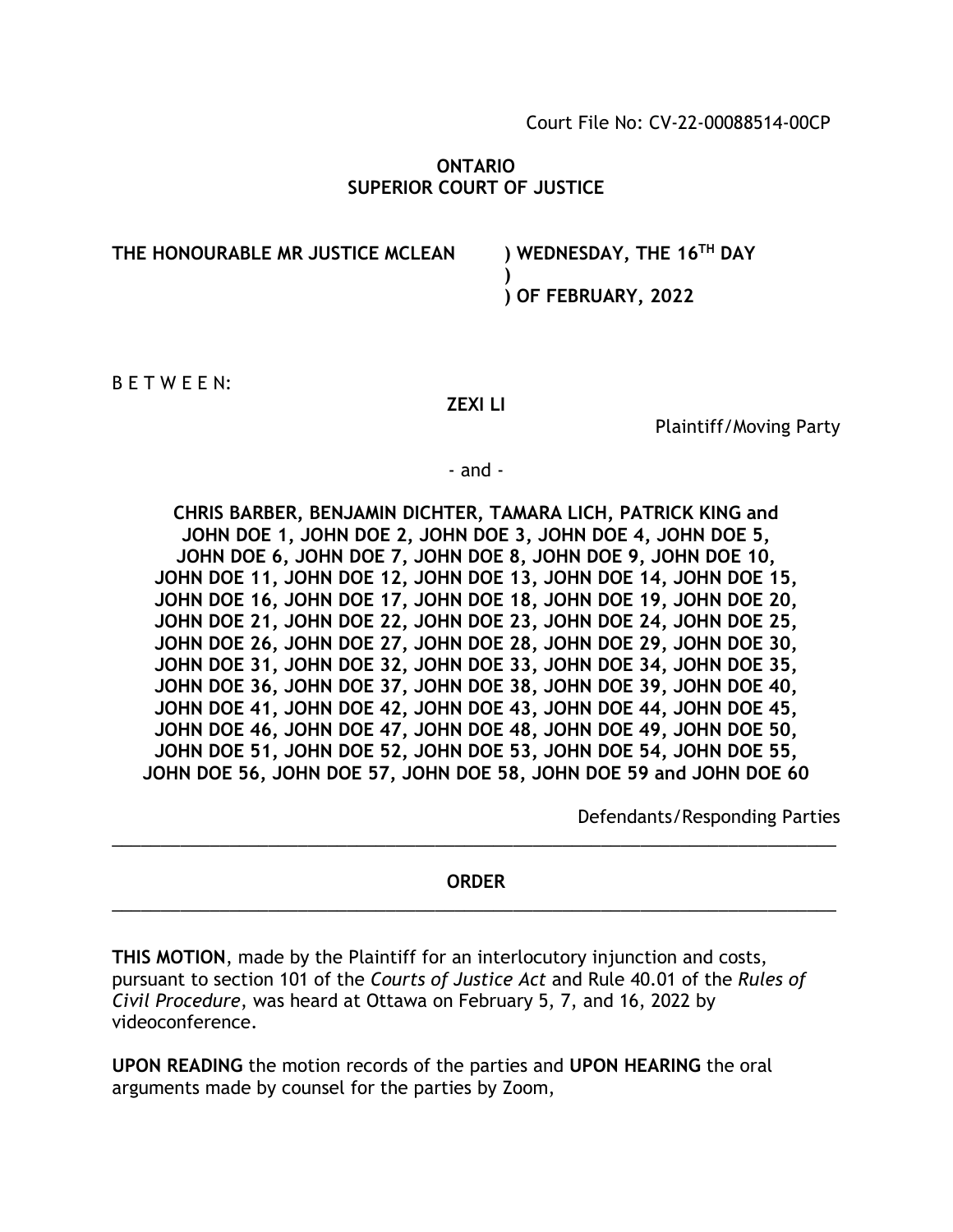Court File No: CV-22-00088514-00CP

## **ONTARIO SUPERIOR COURT OF JUSTICE**

**THE HONOURABLE MR JUSTICE MCLEAN ) WEDNESDAY, THE 16TH DAY**

**) ) OF FEBRUARY, 2022**

B E T W E E N:

#### **ZEXI LI**

Plaintiff/Moving Party

- and -

**CHRIS BARBER, BENJAMIN DICHTER, TAMARA LICH, PATRICK KING and JOHN DOE 1, JOHN DOE 2, JOHN DOE 3, JOHN DOE 4, JOHN DOE 5, JOHN DOE 6, JOHN DOE 7, JOHN DOE 8, JOHN DOE 9, JOHN DOE 10, JOHN DOE 11, JOHN DOE 12, JOHN DOE 13, JOHN DOE 14, JOHN DOE 15, JOHN DOE 16, JOHN DOE 17, JOHN DOE 18, JOHN DOE 19, JOHN DOE 20, JOHN DOE 21, JOHN DOE 22, JOHN DOE 23, JOHN DOE 24, JOHN DOE 25, JOHN DOE 26, JOHN DOE 27, JOHN DOE 28, JOHN DOE 29, JOHN DOE 30, JOHN DOE 31, JOHN DOE 32, JOHN DOE 33, JOHN DOE 34, JOHN DOE 35, JOHN DOE 36, JOHN DOE 37, JOHN DOE 38, JOHN DOE 39, JOHN DOE 40, JOHN DOE 41, JOHN DOE 42, JOHN DOE 43, JOHN DOE 44, JOHN DOE 45, JOHN DOE 46, JOHN DOE 47, JOHN DOE 48, JOHN DOE 49, JOHN DOE 50, JOHN DOE 51, JOHN DOE 52, JOHN DOE 53, JOHN DOE 54, JOHN DOE 55, JOHN DOE 56, JOHN DOE 57, JOHN DOE 58, JOHN DOE 59 and JOHN DOE 60** 

Defendants/Responding Parties

# **ORDER** \_\_\_\_\_\_\_\_\_\_\_\_\_\_\_\_\_\_\_\_\_\_\_\_\_\_\_\_\_\_\_\_\_\_\_\_\_\_\_\_\_\_\_\_\_\_\_\_\_\_\_\_\_\_\_\_\_\_\_\_\_\_\_\_\_\_\_\_\_\_\_\_\_\_

\_\_\_\_\_\_\_\_\_\_\_\_\_\_\_\_\_\_\_\_\_\_\_\_\_\_\_\_\_\_\_\_\_\_\_\_\_\_\_\_\_\_\_\_\_\_\_\_\_\_\_\_\_\_\_\_\_\_\_\_\_\_\_\_\_\_\_\_\_\_\_\_\_\_

**THIS MOTION**, made by the Plaintiff for an interlocutory injunction and costs, pursuant to section 101 of the *Courts of Justice Act* and Rule 40.01 of the *Rules of Civil Procedure*, was heard at Ottawa on February 5, 7, and 16, 2022 by videoconference.

**UPON READING** the motion records of the parties and **UPON HEARING** the oral arguments made by counsel for the parties by Zoom,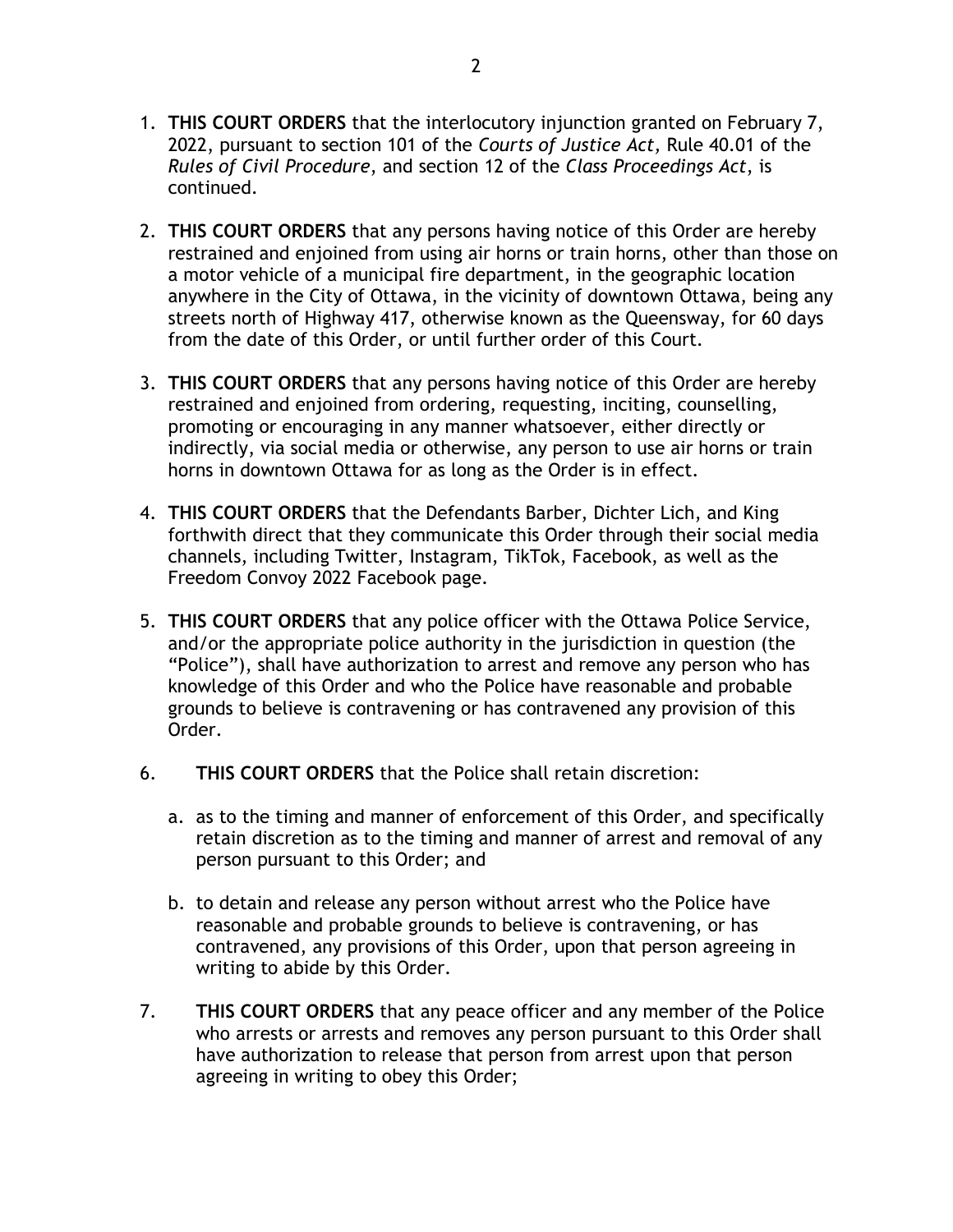- 1. **THIS COURT ORDERS** that the interlocutory injunction granted on February 7, 2022, pursuant to section 101 of the *Courts of Justice Act,* Rule 40.01 of the *Rules of Civil Procedure*, and section 12 of the *Class Proceedings Act*, is continued.
- 2. **THIS COURT ORDERS** that any persons having notice of this Order are hereby restrained and enjoined from using air horns or train horns, other than those on a motor vehicle of a municipal fire department, in the geographic location anywhere in the City of Ottawa, in the vicinity of downtown Ottawa, being any streets north of Highway 417, otherwise known as the Queensway, for 60 days from the date of this Order, or until further order of this Court.
- 3. **THIS COURT ORDERS** that any persons having notice of this Order are hereby restrained and enjoined from ordering, requesting, inciting, counselling, promoting or encouraging in any manner whatsoever, either directly or indirectly, via social media or otherwise, any person to use air horns or train horns in downtown Ottawa for as long as the Order is in effect.
- 4. **THIS COURT ORDERS** that the Defendants Barber, Dichter Lich, and King forthwith direct that they communicate this Order through their social media channels, including Twitter, Instagram, TikTok, Facebook, as well as the Freedom Convoy 2022 Facebook page.
- 5. **THIS COURT ORDERS** that any police officer with the Ottawa Police Service, and/or the appropriate police authority in the jurisdiction in question (the "Police"), shall have authorization to arrest and remove any person who has knowledge of this Order and who the Police have reasonable and probable grounds to believe is contravening or has contravened any provision of this Order.
- 6. **THIS COURT ORDERS** that the Police shall retain discretion:
	- a. as to the timing and manner of enforcement of this Order, and specifically retain discretion as to the timing and manner of arrest and removal of any person pursuant to this Order; and
	- b. to detain and release any person without arrest who the Police have reasonable and probable grounds to believe is contravening, or has contravened, any provisions of this Order, upon that person agreeing in writing to abide by this Order.
- 7. **THIS COURT ORDERS** that any peace officer and any member of the Police who arrests or arrests and removes any person pursuant to this Order shall have authorization to release that person from arrest upon that person agreeing in writing to obey this Order;